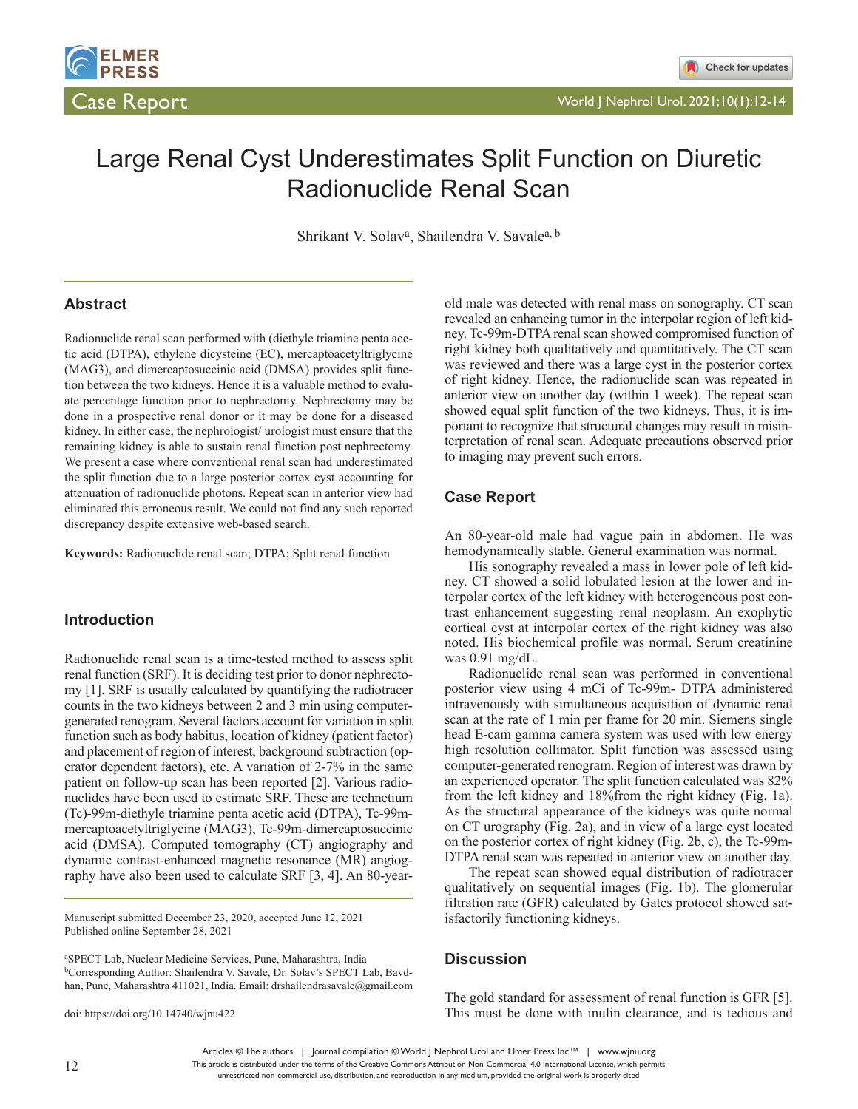

# Large Renal Cyst Underestimates Split Function on Diuretic Radionuclide Renal Scan

Shrikant V. Solav<sup>a</sup>, Shailendra V. Savale<sup>a, b</sup>

#### **Abstract**

Radionuclide renal scan performed with (diethyle triamine penta acetic acid (DTPA), ethylene dicysteine (EC), mercaptoacetyltriglycine (MAG3), and dimercaptosuccinic acid (DMSA) provides split function between the two kidneys. Hence it is a valuable method to evaluate percentage function prior to nephrectomy. Nephrectomy may be done in a prospective renal donor or it may be done for a diseased kidney. In either case, the nephrologist/ urologist must ensure that the remaining kidney is able to sustain renal function post nephrectomy. We present a case where conventional renal scan had underestimated the split function due to a large posterior cortex cyst accounting for attenuation of radionuclide photons. Repeat scan in anterior view had eliminated this erroneous result. We could not find any such reported discrepancy despite extensive web-based search.

**Keywords:** Radionuclide renal scan; DTPA; Split renal function

#### **Introduction**

Radionuclide renal scan is a time-tested method to assess split renal function (SRF). It is deciding test prior to donor nephrectomy [1]. SRF is usually calculated by quantifying the radiotracer counts in the two kidneys between 2 and 3 min using computergenerated renogram. Several factors account for variation in split function such as body habitus, location of kidney (patient factor) and placement of region of interest, background subtraction (operator dependent factors), etc. A variation of 2-7% in the same patient on follow-up scan has been reported [2]. Various radionuclides have been used to estimate SRF. These are technetium (Tc)-99m-diethyle triamine penta acetic acid (DTPA), Tc-99mmercaptoacetyltriglycine (MAG3), Tc-99m-dimercaptosuccinic acid (DMSA). Computed tomography (CT) angiography and dynamic contrast-enhanced magnetic resonance (MR) angiography have also been used to calculate SRF [3, 4]. An 80-year-

Manuscript submitted December 23, 2020, accepted June 12, 2021 Published online September 28, 2021

a SPECT Lab, Nuclear Medicine Services, Pune, Maharashtra, India bCorresponding Author: Shailendra V. Savale, Dr. Solav's SPECT Lab, Bavdhan, Pune, Maharashtra 411021, India. Email: drshailendrasavale@gmail.com

doi: https://doi.org/10.14740/wjnu422

old male was detected with renal mass on sonography. CT scan revealed an enhancing tumor in the interpolar region of left kidney. Tc-99m-DTPA renal scan showed compromised function of right kidney both qualitatively and quantitatively. The CT scan was reviewed and there was a large cyst in the posterior cortex of right kidney. Hence, the radionuclide scan was repeated in anterior view on another day (within 1 week). The repeat scan showed equal split function of the two kidneys. Thus, it is important to recognize that structural changes may result in misinterpretation of renal scan. Adequate precautions observed prior to imaging may prevent such errors.

#### **Case Report**

An 80-year-old male had vague pain in abdomen. He was hemodynamically stable. General examination was normal.

His sonography revealed a mass in lower pole of left kidney. CT showed a solid lobulated lesion at the lower and interpolar cortex of the left kidney with heterogeneous post contrast enhancement suggesting renal neoplasm. An exophytic cortical cyst at interpolar cortex of the right kidney was also noted. His biochemical profile was normal. Serum creatinine was 0.91 mg/dL.

Radionuclide renal scan was performed in conventional posterior view using 4 mCi of Tc-99m- DTPA administered intravenously with simultaneous acquisition of dynamic renal scan at the rate of 1 min per frame for 20 min. Siemens single head E-cam gamma camera system was used with low energy high resolution collimator. Split function was assessed using computer-generated renogram. Region of interest was drawn by an experienced operator. The split function calculated was 82% from the left kidney and 18%from the right kidney (Fig. 1a). As the structural appearance of the kidneys was quite normal on CT urography (Fig. 2a), and in view of a large cyst located on the posterior cortex of right kidney (Fig. 2b, c), the Tc-99m-DTPA renal scan was repeated in anterior view on another day.

The repeat scan showed equal distribution of radiotracer qualitatively on sequential images (Fig. 1b). The glomerular filtration rate (GFR) calculated by Gates protocol showed satisfactorily functioning kidneys.

#### **Discussion**

The gold standard for assessment of renal function is GFR [5]. This must be done with inulin clearance, and is tedious and

Articles © The authors | Journal compilation © World J Nephrol Urol and Elmer Press Inc™ | www.wjnu.org

This article is distributed under the terms of the Creative Commons Attribution Non-Commercial 4.0 International License, which permits unrestricted non-commercial use, distribution, and reproduction in any medium, provided the original work is properly cited

12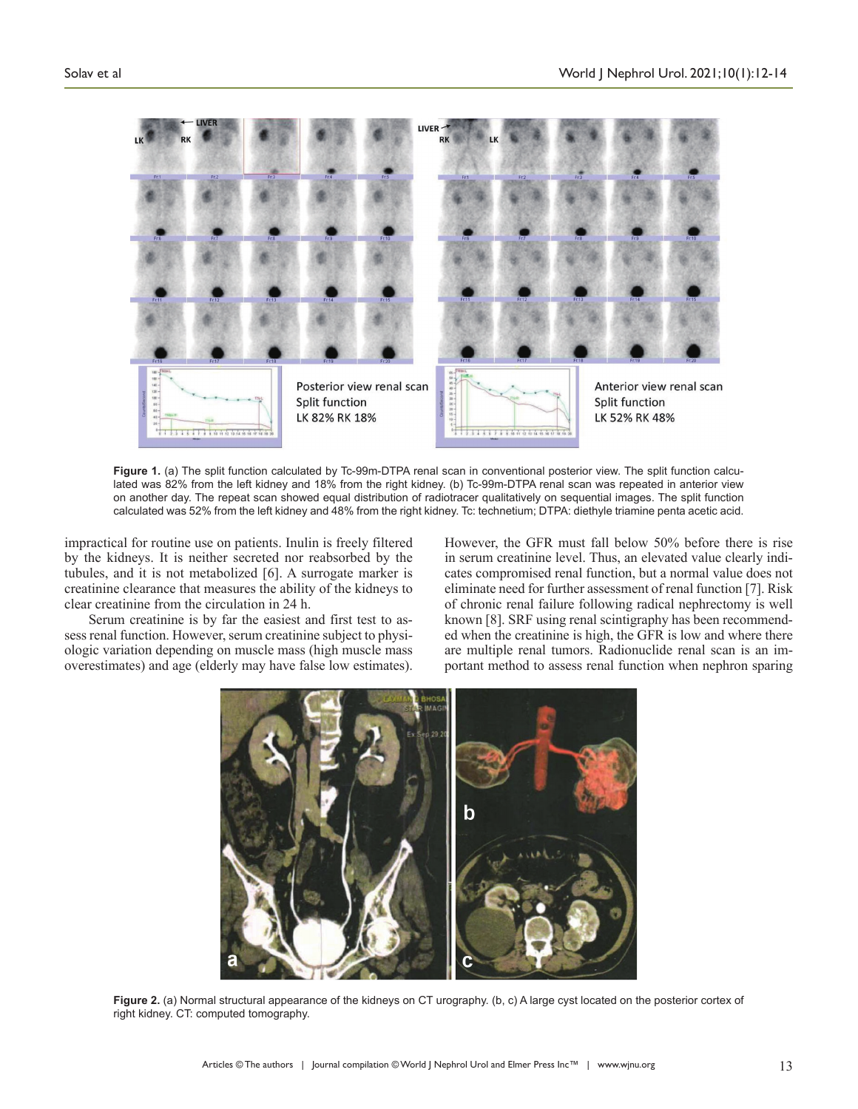

**Figure 1.** (a) The split function calculated by Tc-99m-DTPA renal scan in conventional posterior view. The split function calculated was 82% from the left kidney and 18% from the right kidney. (b) Tc-99m-DTPA renal scan was repeated in anterior view on another day. The repeat scan showed equal distribution of radiotracer qualitatively on sequential images. The split function calculated was 52% from the left kidney and 48% from the right kidney. Tc: technetium; DTPA: diethyle triamine penta acetic acid.

impractical for routine use on patients. Inulin is freely filtered by the kidneys. It is neither secreted nor reabsorbed by the tubules, and it is not metabolized [6]. A surrogate marker is creatinine clearance that measures the ability of the kidneys to clear creatinine from the circulation in 24 h.

Serum creatinine is by far the easiest and first test to assess renal function. However, serum creatinine subject to physiologic variation depending on muscle mass (high muscle mass overestimates) and age (elderly may have false low estimates).

However, the GFR must fall below 50% before there is rise in serum creatinine level. Thus, an elevated value clearly indicates compromised renal function, but a normal value does not eliminate need for further assessment of renal function [7]. Risk of chronic renal failure following radical nephrectomy is well known [8]. SRF using renal scintigraphy has been recommended when the creatinine is high, the GFR is low and where there are multiple renal tumors. Radionuclide renal scan is an important method to assess renal function when nephron sparing



**Figure 2.** (a) Normal structural appearance of the kidneys on CT urography. (b, c) A large cyst located on the posterior cortex of right kidney. CT: computed tomography.